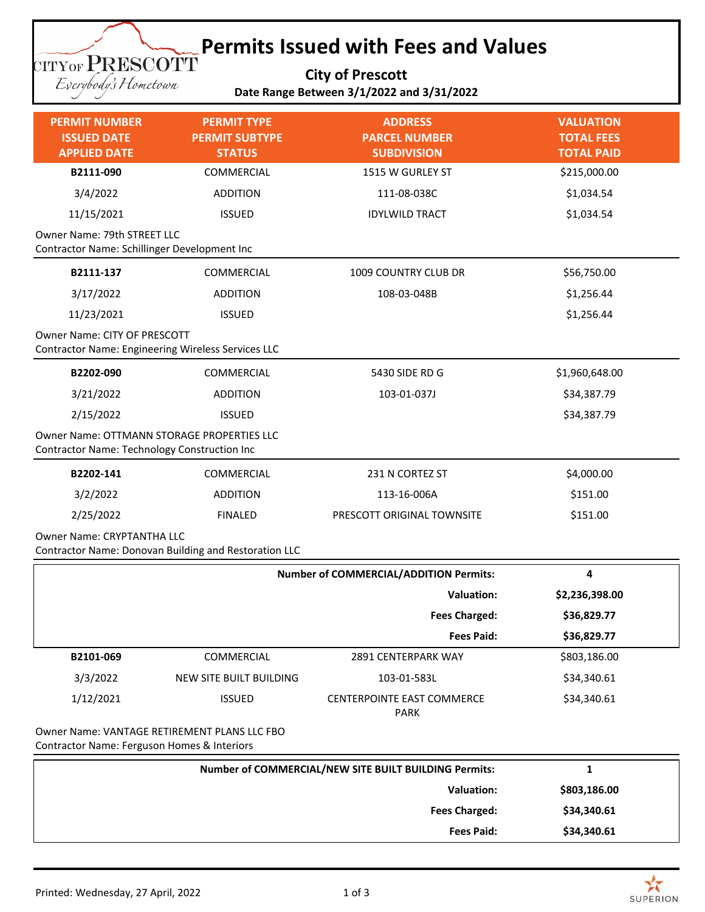## **Permits Issued with Fees and Values TITYOF PRESCOTT**

**City of Prescott Date Range Between 3/1/2022 and 3/31/2022**

| <b>PERMIT NUMBER</b><br><b>ISSUED DATE</b><br><b>APPLIED DATE</b>                          | <b>PERMIT TYPE</b><br><b>PERMIT SUBTYPE</b><br><b>STATUS</b> | <b>ADDRESS</b><br><b>PARCEL NUMBER</b><br><b>SUBDIVISION</b> | <b>VALUATION</b><br><b>TOTAL FEES</b><br><b>TOTAL PAID</b> |  |
|--------------------------------------------------------------------------------------------|--------------------------------------------------------------|--------------------------------------------------------------|------------------------------------------------------------|--|
| B2111-090                                                                                  | COMMERCIAL                                                   | 1515 W GURLEY ST                                             | \$215,000.00                                               |  |
| 3/4/2022                                                                                   | <b>ADDITION</b>                                              | 111-08-038C                                                  | \$1,034.54                                                 |  |
| 11/15/2021                                                                                 | <b>ISSUED</b>                                                | <b>IDYLWILD TRACT</b>                                        | \$1,034.54                                                 |  |
| Owner Name: 79th STREET LLC<br>Contractor Name: Schillinger Development Inc                |                                                              |                                                              |                                                            |  |
| B2111-137                                                                                  | COMMERCIAL                                                   | 1009 COUNTRY CLUB DR                                         | \$56,750.00                                                |  |
| 3/17/2022                                                                                  | <b>ADDITION</b>                                              | 108-03-048B                                                  | \$1,256.44                                                 |  |
| 11/23/2021                                                                                 | <b>ISSUED</b>                                                |                                                              | \$1,256.44                                                 |  |
| Owner Name: CITY OF PRESCOTT<br>Contractor Name: Engineering Wireless Services LLC         |                                                              |                                                              |                                                            |  |
| B2202-090                                                                                  | COMMERCIAL                                                   | 5430 SIDE RD G                                               | \$1,960,648.00                                             |  |
| 3/21/2022                                                                                  | <b>ADDITION</b>                                              | 103-01-037J                                                  | \$34,387.79                                                |  |
| 2/15/2022                                                                                  | <b>ISSUED</b>                                                |                                                              | \$34,387.79                                                |  |
| Owner Name: OTTMANN STORAGE PROPERTIES LLC<br>Contractor Name: Technology Construction Inc |                                                              |                                                              |                                                            |  |
| B2202-141                                                                                  | COMMERCIAL                                                   | 231 N CORTEZ ST                                              | \$4,000.00                                                 |  |
| 3/2/2022                                                                                   | <b>ADDITION</b>                                              | 113-16-006A                                                  | \$151.00                                                   |  |
| 2/25/2022                                                                                  | <b>FINALED</b>                                               | PRESCOTT ORIGINAL TOWNSITE                                   | \$151.00                                                   |  |
| <b>Owner Name: CRYPTANTHA LLC</b><br>Contractor Name: Donovan Building and Restoration LLC |                                                              |                                                              |                                                            |  |

|           | <b>Number of COMMERCIAL/ADDITION Permits:</b> |                                                  | 4              |
|-----------|-----------------------------------------------|--------------------------------------------------|----------------|
|           |                                               | <b>Valuation:</b>                                | \$2,236,398.00 |
|           |                                               | <b>Fees Charged:</b>                             | \$36,829.77    |
|           |                                               | <b>Fees Paid:</b>                                | \$36,829.77    |
| B2101-069 | COMMERCIAL                                    | 2891 CENTERPARK WAY                              | \$803,186.00   |
| 3/3/2022  | NEW SITE BUILT BUILDING                       | 103-01-583L                                      | \$34,340.61    |
| 1/12/2021 | <b>ISSUED</b>                                 | <b>CENTERPOINTE EAST COMMERCE</b><br><b>PARK</b> | \$34,340.61    |
|           | Owner Name: VANTAGE RETIREMENT PLANS LLC FBO  |                                                  |                |

Contractor Name: Ferguson Homes & Interiors

Eserybody's Hometown

| Number of COMMERCIAL/NEW SITE BUILT BUILDING Permits: |              |
|-------------------------------------------------------|--------------|
| <b>Valuation:</b>                                     | \$803,186.00 |
| <b>Fees Charged:</b>                                  | \$34,340.61  |
| <b>Fees Paid:</b>                                     | \$34,340.61  |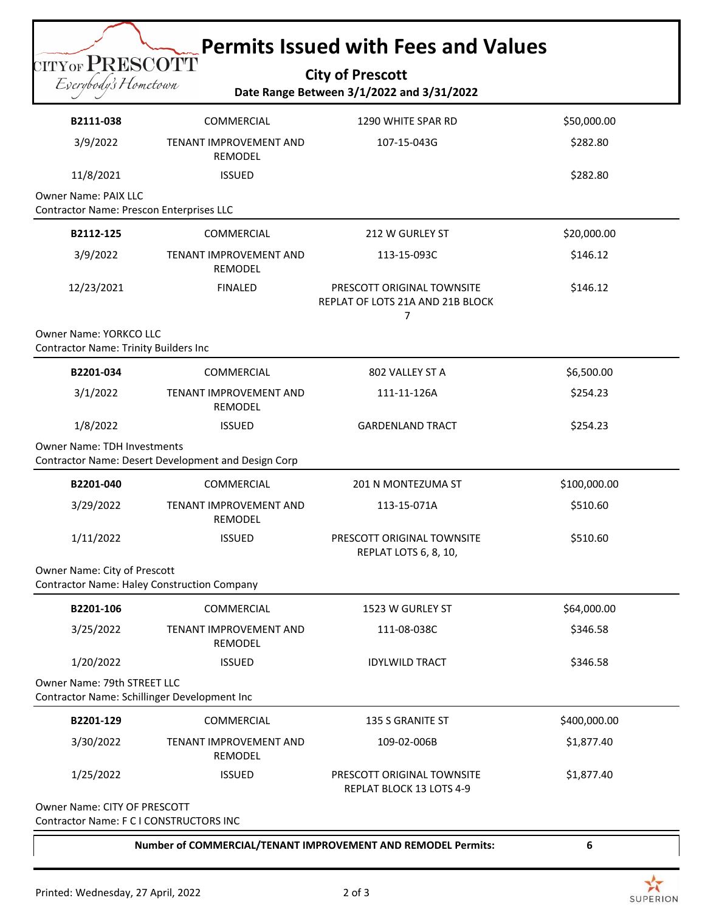## **Permits Issued with Fees and Values**

**City of Prescott Date Range Between 3/1/2022 and 3/31/2022**

| B2111-038                                                                          | COMMERCIAL                                          | 1290 WHITE SPAR RD                                                  | \$50,000.00  |
|------------------------------------------------------------------------------------|-----------------------------------------------------|---------------------------------------------------------------------|--------------|
| 3/9/2022                                                                           | TENANT IMPROVEMENT AND<br>REMODEL                   | 107-15-043G                                                         | \$282.80     |
| 11/8/2021                                                                          | <b>ISSUED</b>                                       |                                                                     | \$282.80     |
| <b>Owner Name: PAIX LLC</b><br>Contractor Name: Prescon Enterprises LLC            |                                                     |                                                                     |              |
| B2112-125                                                                          | COMMERCIAL                                          | 212 W GURLEY ST                                                     | \$20,000.00  |
| 3/9/2022                                                                           | TENANT IMPROVEMENT AND<br>REMODEL                   | 113-15-093C                                                         | \$146.12     |
| 12/23/2021                                                                         | <b>FINALED</b>                                      | PRESCOTT ORIGINAL TOWNSITE<br>REPLAT OF LOTS 21A AND 21B BLOCK<br>7 | \$146.12     |
| Owner Name: YORKCO LLC<br><b>Contractor Name: Trinity Builders Inc</b>             |                                                     |                                                                     |              |
| B2201-034                                                                          | COMMERCIAL                                          | 802 VALLEY ST A                                                     | \$6,500.00   |
| 3/1/2022                                                                           | TENANT IMPROVEMENT AND<br><b>REMODEL</b>            | 111-11-126A                                                         | \$254.23     |
| 1/8/2022                                                                           | <b>ISSUED</b>                                       | <b>GARDENLAND TRACT</b>                                             | \$254.23     |
| <b>Owner Name: TDH Investments</b>                                                 | Contractor Name: Desert Development and Design Corp |                                                                     |              |
| B2201-040                                                                          | COMMERCIAL                                          | 201 N MONTEZUMA ST                                                  | \$100,000.00 |
| 3/29/2022                                                                          | TENANT IMPROVEMENT AND<br>REMODEL                   | 113-15-071A                                                         | \$510.60     |
| 1/11/2022                                                                          | <b>ISSUED</b>                                       | PRESCOTT ORIGINAL TOWNSITE<br>REPLAT LOTS 6, 8, 10,                 | \$510.60     |
| Owner Name: City of Prescott<br><b>Contractor Name: Haley Construction Company</b> |                                                     |                                                                     |              |
| B2201-106                                                                          | COMMERCIAL                                          | 1523 W GURLEY ST                                                    | \$64,000.00  |
| 3/25/2022                                                                          | TENANT IMPROVEMENT AND<br>REMODEL                   | 111-08-038C                                                         | \$346.58     |
| 1/20/2022                                                                          | <b>ISSUED</b>                                       | <b>IDYLWILD TRACT</b>                                               | \$346.58     |
| Owner Name: 79th STREET LLC<br>Contractor Name: Schillinger Development Inc        |                                                     |                                                                     |              |
| B2201-129                                                                          | COMMERCIAL                                          | 135 S GRANITE ST                                                    | \$400,000.00 |
| 3/30/2022                                                                          | TENANT IMPROVEMENT AND<br>REMODEL                   | 109-02-006B                                                         | \$1,877.40   |
| 1/25/2022                                                                          | <b>ISSUED</b>                                       | PRESCOTT ORIGINAL TOWNSITE<br>REPLAT BLOCK 13 LOTS 4-9              | \$1,877.40   |
| Owner Name: CITY OF PRESCOTT                                                       |                                                     |                                                                     |              |

Contractor Name: F C I CONSTRUCTORS INC

**Number of COMMERCIAL/TENANT IMPROVEMENT AND REMODEL Permits: 6**

**CITYOF PRESCOTT** Everybody's Hometown